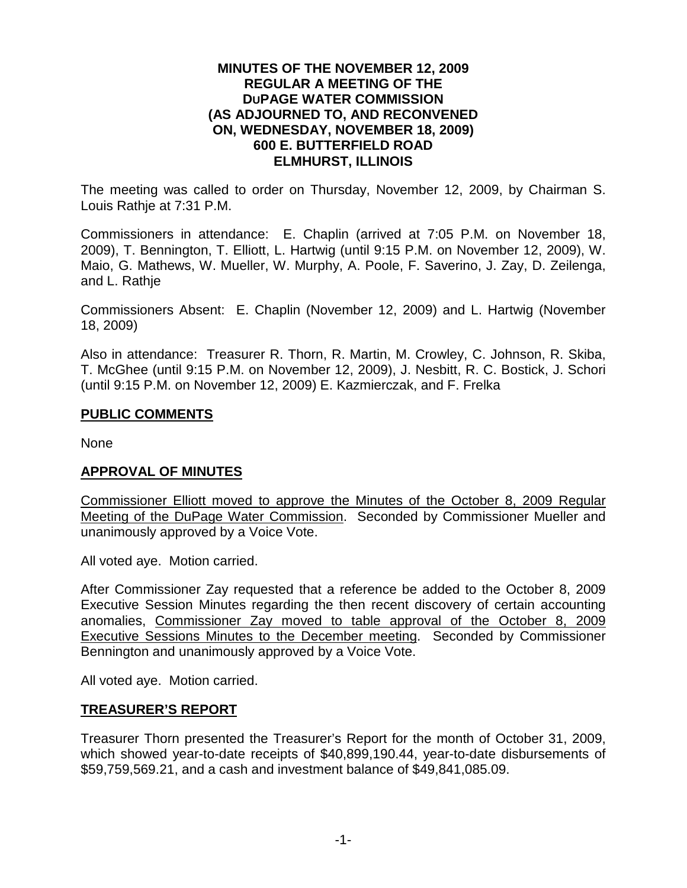### **MINUTES OF THE NOVEMBER 12, 2009 REGULAR A MEETING OF THE DUPAGE WATER COMMISSION (AS ADJOURNED TO, AND RECONVENED ON, WEDNESDAY, NOVEMBER 18, 2009) 600 E. BUTTERFIELD ROAD ELMHURST, ILLINOIS**

The meeting was called to order on Thursday, November 12, 2009, by Chairman S. Louis Rathje at 7:31 P.M.

Commissioners in attendance: E. Chaplin (arrived at 7:05 P.M. on November 18, 2009), T. Bennington, T. Elliott, L. Hartwig (until 9:15 P.M. on November 12, 2009), W. Maio, G. Mathews, W. Mueller, W. Murphy, A. Poole, F. Saverino, J. Zay, D. Zeilenga, and L. Rathje

Commissioners Absent: E. Chaplin (November 12, 2009) and L. Hartwig (November 18, 2009)

Also in attendance: Treasurer R. Thorn, R. Martin, M. Crowley, C. Johnson, R. Skiba, T. McGhee (until 9:15 P.M. on November 12, 2009), J. Nesbitt, R. C. Bostick, J. Schori (until 9:15 P.M. on November 12, 2009) E. Kazmierczak, and F. Frelka

### **PUBLIC COMMENTS**

None

## **APPROVAL OF MINUTES**

Commissioner Elliott moved to approve the Minutes of the October 8, 2009 Regular Meeting of the DuPage Water Commission. Seconded by Commissioner Mueller and unanimously approved by a Voice Vote.

All voted aye. Motion carried.

After Commissioner Zay requested that a reference be added to the October 8, 2009 Executive Session Minutes regarding the then recent discovery of certain accounting anomalies, Commissioner Zay moved to table approval of the October 8, 2009 Executive Sessions Minutes to the December meeting. Seconded by Commissioner Bennington and unanimously approved by a Voice Vote.

All voted aye. Motion carried.

## **TREASURER'S REPORT**

Treasurer Thorn presented the Treasurer's Report for the month of October 31, 2009, which showed year-to-date receipts of \$40,899,190.44, year-to-date disbursements of \$59,759,569.21, and a cash and investment balance of \$49,841,085.09.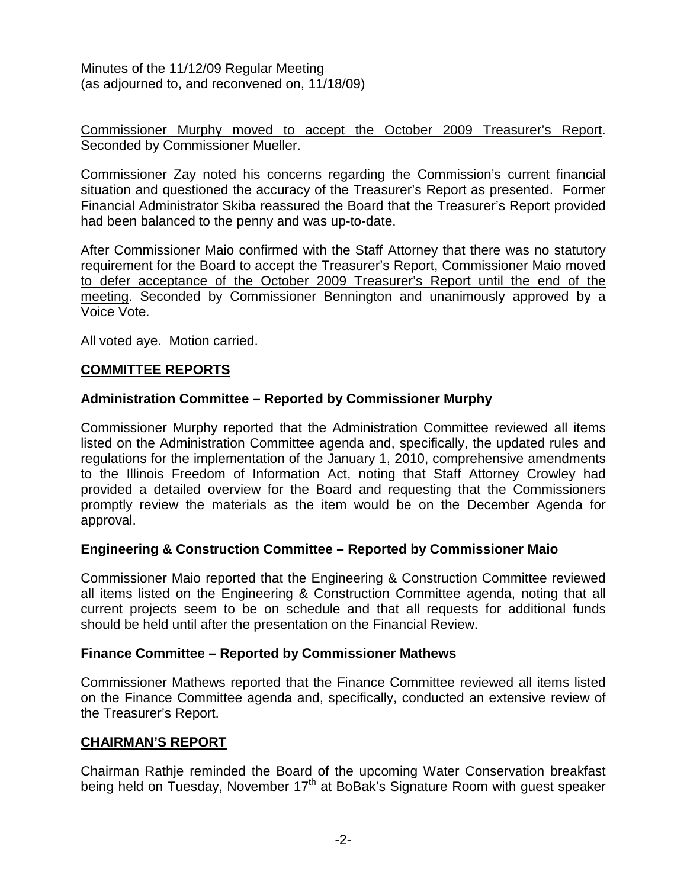Commissioner Murphy moved to accept the October 2009 Treasurer's Report. Seconded by Commissioner Mueller.

Commissioner Zay noted his concerns regarding the Commission's current financial situation and questioned the accuracy of the Treasurer's Report as presented. Former Financial Administrator Skiba reassured the Board that the Treasurer's Report provided had been balanced to the penny and was up-to-date.

After Commissioner Maio confirmed with the Staff Attorney that there was no statutory requirement for the Board to accept the Treasurer's Report, Commissioner Maio moved to defer acceptance of the October 2009 Treasurer's Report until the end of the meeting. Seconded by Commissioner Bennington and unanimously approved by a Voice Vote.

All voted aye. Motion carried.

## **COMMITTEE REPORTS**

### **Administration Committee – Reported by Commissioner Murphy**

Commissioner Murphy reported that the Administration Committee reviewed all items listed on the Administration Committee agenda and, specifically, the updated rules and regulations for the implementation of the January 1, 2010, comprehensive amendments to the Illinois Freedom of Information Act, noting that Staff Attorney Crowley had provided a detailed overview for the Board and requesting that the Commissioners promptly review the materials as the item would be on the December Agenda for approval.

## **Engineering & Construction Committee – Reported by Commissioner Maio**

Commissioner Maio reported that the Engineering & Construction Committee reviewed all items listed on the Engineering & Construction Committee agenda, noting that all current projects seem to be on schedule and that all requests for additional funds should be held until after the presentation on the Financial Review.

#### **Finance Committee – Reported by Commissioner Mathews**

Commissioner Mathews reported that the Finance Committee reviewed all items listed on the Finance Committee agenda and, specifically, conducted an extensive review of the Treasurer's Report.

#### **CHAIRMAN'S REPORT**

Chairman Rathje reminded the Board of the upcoming Water Conservation breakfast being held on Tuesday, November 17<sup>th</sup> at BoBak's Signature Room with guest speaker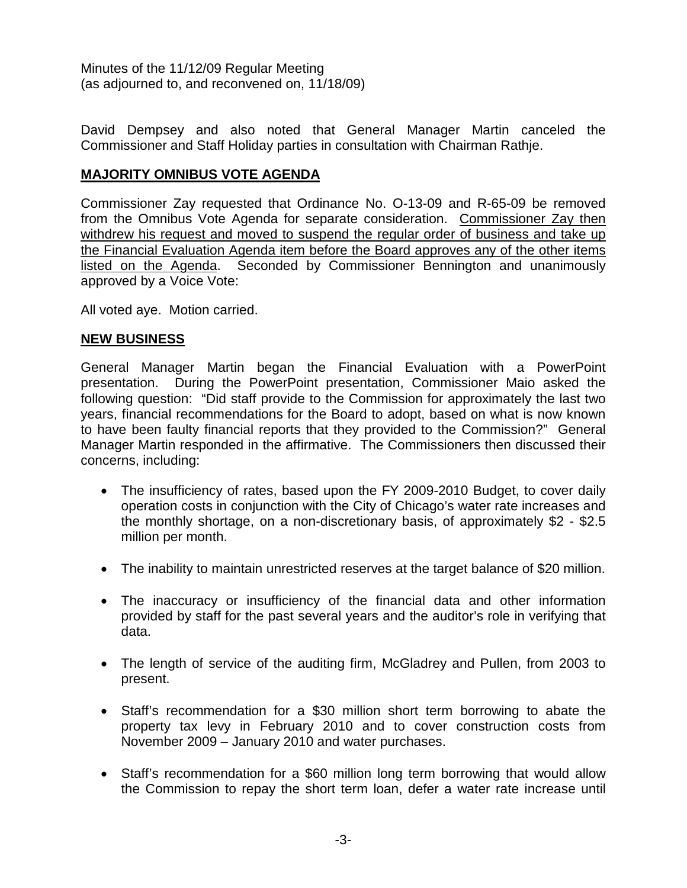David Dempsey and also noted that General Manager Martin canceled the Commissioner and Staff Holiday parties in consultation with Chairman Rathje.

## **MAJORITY OMNIBUS VOTE AGENDA**

Commissioner Zay requested that Ordinance No. O-13-09 and R-65-09 be removed from the Omnibus Vote Agenda for separate consideration. Commissioner Zay then withdrew his request and moved to suspend the regular order of business and take up the Financial Evaluation Agenda item before the Board approves any of the other items listed on the Agenda. Seconded by Commissioner Bennington and unanimously approved by a Voice Vote:

All voted aye. Motion carried.

## **NEW BUSINESS**

General Manager Martin began the Financial Evaluation with a PowerPoint presentation. During the PowerPoint presentation, Commissioner Maio asked the following question: "Did staff provide to the Commission for approximately the last two years, financial recommendations for the Board to adopt, based on what is now known to have been faulty financial reports that they provided to the Commission?" General Manager Martin responded in the affirmative. The Commissioners then discussed their concerns, including:

- The insufficiency of rates, based upon the FY 2009-2010 Budget, to cover daily operation costs in conjunction with the City of Chicago's water rate increases and the monthly shortage, on a non-discretionary basis, of approximately \$2 - \$2.5 million per month.
- The inability to maintain unrestricted reserves at the target balance of \$20 million.
- The inaccuracy or insufficiency of the financial data and other information provided by staff for the past several years and the auditor's role in verifying that data.
- The length of service of the auditing firm, McGladrey and Pullen, from 2003 to present.
- Staff's recommendation for a \$30 million short term borrowing to abate the property tax levy in February 2010 and to cover construction costs from November 2009 – January 2010 and water purchases.
- Staff's recommendation for a \$60 million long term borrowing that would allow the Commission to repay the short term loan, defer a water rate increase until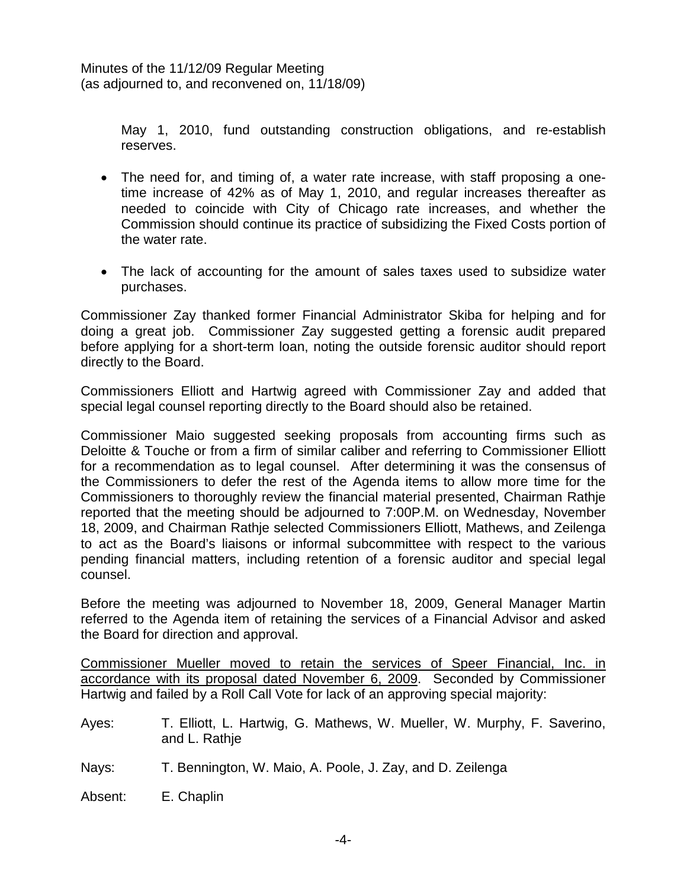May 1, 2010, fund outstanding construction obligations, and re-establish reserves.

- The need for, and timing of, a water rate increase, with staff proposing a onetime increase of 42% as of May 1, 2010, and regular increases thereafter as needed to coincide with City of Chicago rate increases, and whether the Commission should continue its practice of subsidizing the Fixed Costs portion of the water rate.
- The lack of accounting for the amount of sales taxes used to subsidize water purchases.

Commissioner Zay thanked former Financial Administrator Skiba for helping and for doing a great job. Commissioner Zay suggested getting a forensic audit prepared before applying for a short-term loan, noting the outside forensic auditor should report directly to the Board.

Commissioners Elliott and Hartwig agreed with Commissioner Zay and added that special legal counsel reporting directly to the Board should also be retained.

Commissioner Maio suggested seeking proposals from accounting firms such as Deloitte & Touche or from a firm of similar caliber and referring to Commissioner Elliott for a recommendation as to legal counsel. After determining it was the consensus of the Commissioners to defer the rest of the Agenda items to allow more time for the Commissioners to thoroughly review the financial material presented, Chairman Rathje reported that the meeting should be adjourned to 7:00P.M. on Wednesday, November 18, 2009, and Chairman Rathje selected Commissioners Elliott, Mathews, and Zeilenga to act as the Board's liaisons or informal subcommittee with respect to the various pending financial matters, including retention of a forensic auditor and special legal counsel.

Before the meeting was adjourned to November 18, 2009, General Manager Martin referred to the Agenda item of retaining the services of a Financial Advisor and asked the Board for direction and approval.

Commissioner Mueller moved to retain the services of Speer Financial, Inc. in accordance with its proposal dated November 6, 2009. Seconded by Commissioner Hartwig and failed by a Roll Call Vote for lack of an approving special majority:

- Ayes: T. Elliott, L. Hartwig, G. Mathews, W. Mueller, W. Murphy, F. Saverino, and L. Rathje
- Nays: T. Bennington, W. Maio, A. Poole, J. Zay, and D. Zeilenga

Absent: E. Chaplin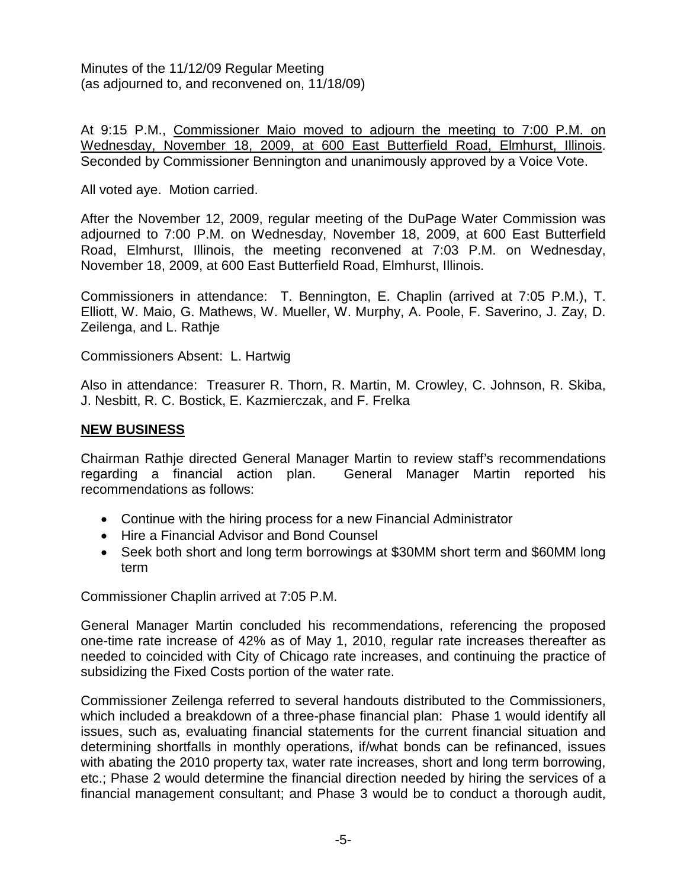At 9:15 P.M., Commissioner Maio moved to adjourn the meeting to 7:00 P.M. on Wednesday, November 18, 2009, at 600 East Butterfield Road, Elmhurst, Illinois. Seconded by Commissioner Bennington and unanimously approved by a Voice Vote.

All voted aye. Motion carried.

After the November 12, 2009, regular meeting of the DuPage Water Commission was adjourned to 7:00 P.M. on Wednesday, November 18, 2009, at 600 East Butterfield Road, Elmhurst, Illinois, the meeting reconvened at 7:03 P.M. on Wednesday, November 18, 2009, at 600 East Butterfield Road, Elmhurst, Illinois.

Commissioners in attendance: T. Bennington, E. Chaplin (arrived at 7:05 P.M.), T. Elliott, W. Maio, G. Mathews, W. Mueller, W. Murphy, A. Poole, F. Saverino, J. Zay, D. Zeilenga, and L. Rathje

Commissioners Absent: L. Hartwig

Also in attendance: Treasurer R. Thorn, R. Martin, M. Crowley, C. Johnson, R. Skiba, J. Nesbitt, R. C. Bostick, E. Kazmierczak, and F. Frelka

### **NEW BUSINESS**

Chairman Rathje directed General Manager Martin to review staff's recommendations regarding a financial action plan. General Manager Martin reported his recommendations as follows:

- Continue with the hiring process for a new Financial Administrator
- Hire a Financial Advisor and Bond Counsel
- Seek both short and long term borrowings at \$30MM short term and \$60MM long term

Commissioner Chaplin arrived at 7:05 P.M.

General Manager Martin concluded his recommendations, referencing the proposed one-time rate increase of 42% as of May 1, 2010, regular rate increases thereafter as needed to coincided with City of Chicago rate increases, and continuing the practice of subsidizing the Fixed Costs portion of the water rate.

Commissioner Zeilenga referred to several handouts distributed to the Commissioners, which included a breakdown of a three-phase financial plan: Phase 1 would identify all issues, such as, evaluating financial statements for the current financial situation and determining shortfalls in monthly operations, if/what bonds can be refinanced, issues with abating the 2010 property tax, water rate increases, short and long term borrowing, etc.; Phase 2 would determine the financial direction needed by hiring the services of a financial management consultant; and Phase 3 would be to conduct a thorough audit,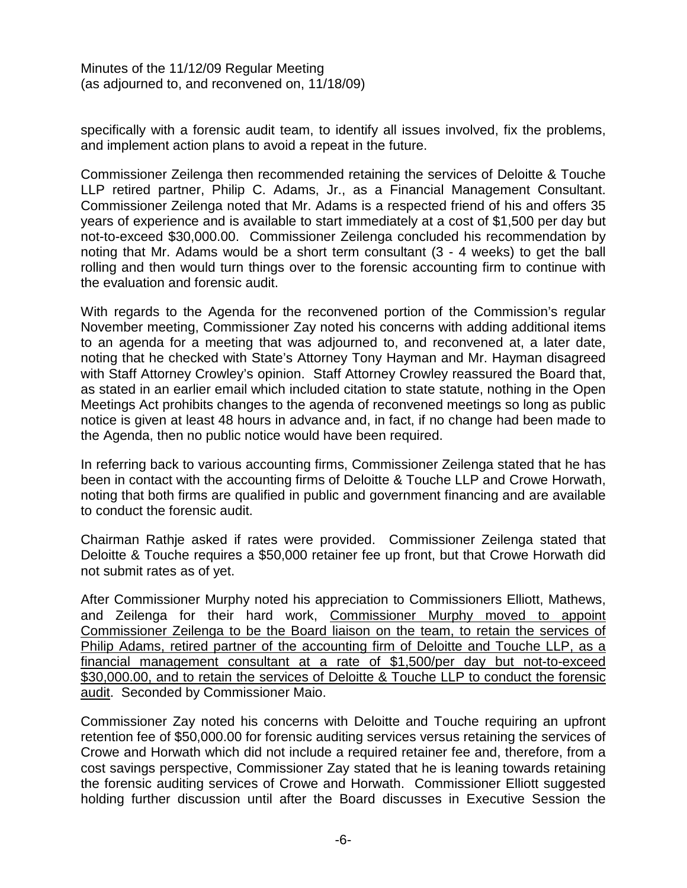specifically with a forensic audit team, to identify all issues involved, fix the problems, and implement action plans to avoid a repeat in the future.

Commissioner Zeilenga then recommended retaining the services of Deloitte & Touche LLP retired partner, Philip C. Adams, Jr., as a Financial Management Consultant. Commissioner Zeilenga noted that Mr. Adams is a respected friend of his and offers 35 years of experience and is available to start immediately at a cost of \$1,500 per day but not-to-exceed \$30,000.00. Commissioner Zeilenga concluded his recommendation by noting that Mr. Adams would be a short term consultant (3 - 4 weeks) to get the ball rolling and then would turn things over to the forensic accounting firm to continue with the evaluation and forensic audit.

With regards to the Agenda for the reconvened portion of the Commission's regular November meeting, Commissioner Zay noted his concerns with adding additional items to an agenda for a meeting that was adjourned to, and reconvened at, a later date, noting that he checked with State's Attorney Tony Hayman and Mr. Hayman disagreed with Staff Attorney Crowley's opinion. Staff Attorney Crowley reassured the Board that, as stated in an earlier email which included citation to state statute, nothing in the Open Meetings Act prohibits changes to the agenda of reconvened meetings so long as public notice is given at least 48 hours in advance and, in fact, if no change had been made to the Agenda, then no public notice would have been required.

In referring back to various accounting firms, Commissioner Zeilenga stated that he has been in contact with the accounting firms of Deloitte & Touche LLP and Crowe Horwath, noting that both firms are qualified in public and government financing and are available to conduct the forensic audit.

Chairman Rathje asked if rates were provided. Commissioner Zeilenga stated that Deloitte & Touche requires a \$50,000 retainer fee up front, but that Crowe Horwath did not submit rates as of yet.

After Commissioner Murphy noted his appreciation to Commissioners Elliott, Mathews, and Zeilenga for their hard work, Commissioner Murphy moved to appoint Commissioner Zeilenga to be the Board liaison on the team, to retain the services of Philip Adams, retired partner of the accounting firm of Deloitte and Touche LLP, as a financial management consultant at a rate of \$1,500/per day but not-to-exceed \$30,000.00, and to retain the services of Deloitte & Touche LLP to conduct the forensic audit. Seconded by Commissioner Maio.

Commissioner Zay noted his concerns with Deloitte and Touche requiring an upfront retention fee of \$50,000.00 for forensic auditing services versus retaining the services of Crowe and Horwath which did not include a required retainer fee and, therefore, from a cost savings perspective, Commissioner Zay stated that he is leaning towards retaining the forensic auditing services of Crowe and Horwath. Commissioner Elliott suggested holding further discussion until after the Board discusses in Executive Session the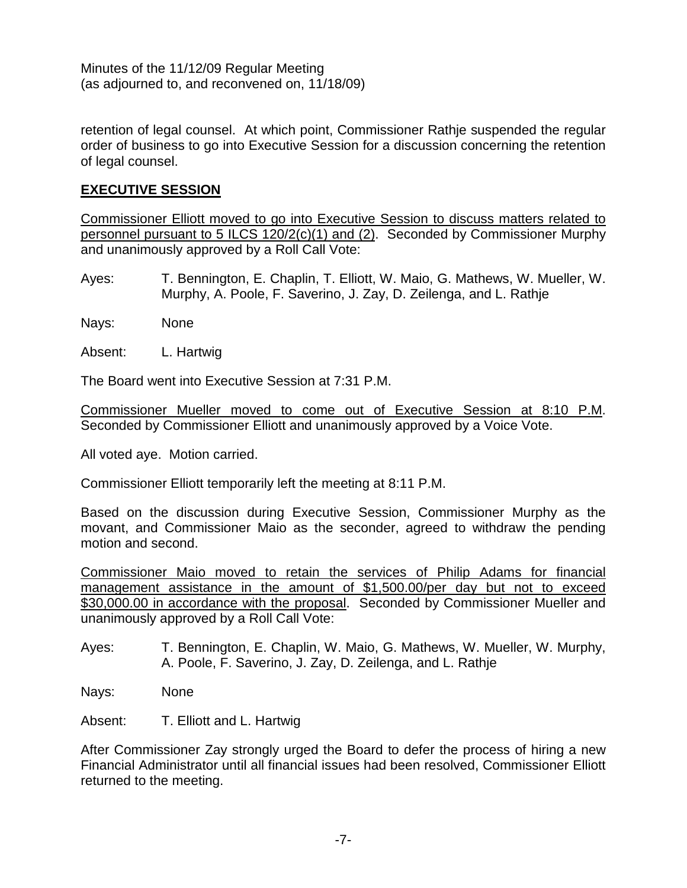retention of legal counsel. At which point, Commissioner Rathje suspended the regular order of business to go into Executive Session for a discussion concerning the retention of legal counsel.

## **EXECUTIVE SESSION**

Commissioner Elliott moved to go into Executive Session to discuss matters related to personnel pursuant to 5 ILCS 120/2(c)(1) and (2). Seconded by Commissioner Murphy and unanimously approved by a Roll Call Vote:

- Ayes: T. Bennington, E. Chaplin, T. Elliott, W. Maio, G. Mathews, W. Mueller, W. Murphy, A. Poole, F. Saverino, J. Zay, D. Zeilenga, and L. Rathje
- Nays: None
- Absent: L. Hartwig

The Board went into Executive Session at 7:31 P.M.

Commissioner Mueller moved to come out of Executive Session at 8:10 P.M. Seconded by Commissioner Elliott and unanimously approved by a Voice Vote.

All voted aye. Motion carried.

Commissioner Elliott temporarily left the meeting at 8:11 P.M.

Based on the discussion during Executive Session, Commissioner Murphy as the movant, and Commissioner Maio as the seconder, agreed to withdraw the pending motion and second.

Commissioner Maio moved to retain the services of Philip Adams for financial management assistance in the amount of \$1,500.00/per day but not to exceed \$30,000.00 in accordance with the proposal. Seconded by Commissioner Mueller and unanimously approved by a Roll Call Vote:

- Ayes: T. Bennington, E. Chaplin, W. Maio, G. Mathews, W. Mueller, W. Murphy, A. Poole, F. Saverino, J. Zay, D. Zeilenga, and L. Rathje
- Nays: None
- Absent: T. Elliott and L. Hartwig

After Commissioner Zay strongly urged the Board to defer the process of hiring a new Financial Administrator until all financial issues had been resolved, Commissioner Elliott returned to the meeting.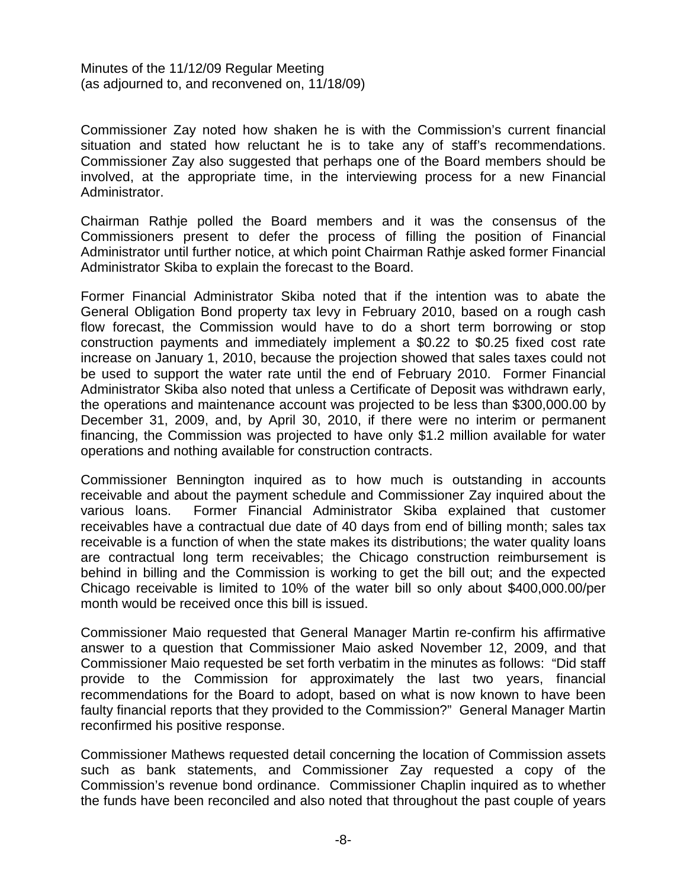Commissioner Zay noted how shaken he is with the Commission's current financial situation and stated how reluctant he is to take any of staff's recommendations. Commissioner Zay also suggested that perhaps one of the Board members should be involved, at the appropriate time, in the interviewing process for a new Financial Administrator.

Chairman Rathje polled the Board members and it was the consensus of the Commissioners present to defer the process of filling the position of Financial Administrator until further notice, at which point Chairman Rathje asked former Financial Administrator Skiba to explain the forecast to the Board.

Former Financial Administrator Skiba noted that if the intention was to abate the General Obligation Bond property tax levy in February 2010, based on a rough cash flow forecast, the Commission would have to do a short term borrowing or stop construction payments and immediately implement a \$0.22 to \$0.25 fixed cost rate increase on January 1, 2010, because the projection showed that sales taxes could not be used to support the water rate until the end of February 2010. Former Financial Administrator Skiba also noted that unless a Certificate of Deposit was withdrawn early, the operations and maintenance account was projected to be less than \$300,000.00 by December 31, 2009, and, by April 30, 2010, if there were no interim or permanent financing, the Commission was projected to have only \$1.2 million available for water operations and nothing available for construction contracts.

Commissioner Bennington inquired as to how much is outstanding in accounts receivable and about the payment schedule and Commissioner Zay inquired about the various loans. Former Financial Administrator Skiba explained that customer receivables have a contractual due date of 40 days from end of billing month; sales tax receivable is a function of when the state makes its distributions; the water quality loans are contractual long term receivables; the Chicago construction reimbursement is behind in billing and the Commission is working to get the bill out; and the expected Chicago receivable is limited to 10% of the water bill so only about \$400,000.00/per month would be received once this bill is issued.

Commissioner Maio requested that General Manager Martin re-confirm his affirmative answer to a question that Commissioner Maio asked November 12, 2009, and that Commissioner Maio requested be set forth verbatim in the minutes as follows: "Did staff provide to the Commission for approximately the last two years, financial recommendations for the Board to adopt, based on what is now known to have been faulty financial reports that they provided to the Commission?" General Manager Martin reconfirmed his positive response.

Commissioner Mathews requested detail concerning the location of Commission assets such as bank statements, and Commissioner Zay requested a copy of the Commission's revenue bond ordinance. Commissioner Chaplin inquired as to whether the funds have been reconciled and also noted that throughout the past couple of years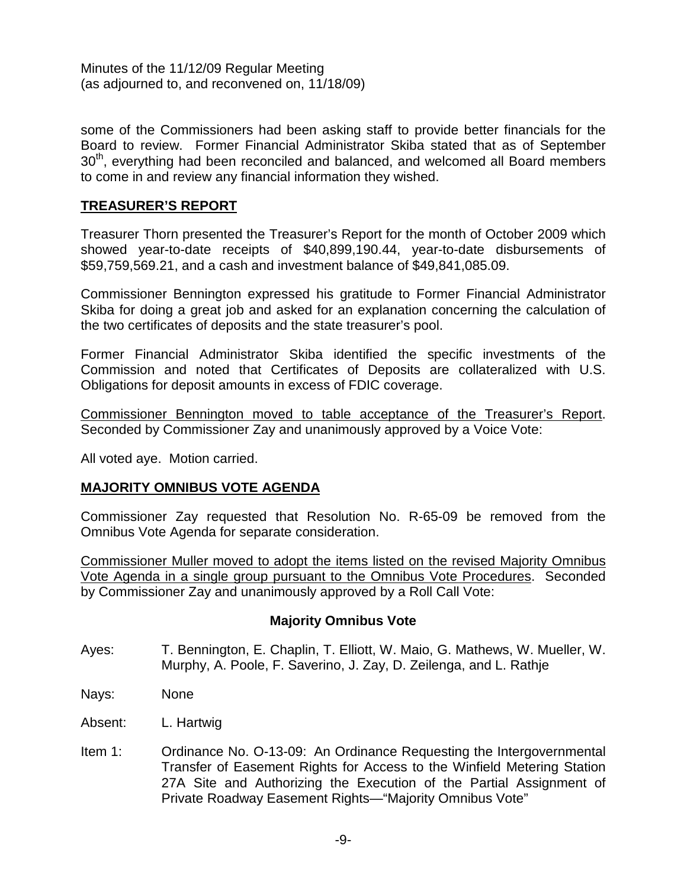some of the Commissioners had been asking staff to provide better financials for the Board to review. Former Financial Administrator Skiba stated that as of September 30<sup>th</sup>, everything had been reconciled and balanced, and welcomed all Board members to come in and review any financial information they wished.

## **TREASURER'S REPORT**

Treasurer Thorn presented the Treasurer's Report for the month of October 2009 which showed year-to-date receipts of \$40,899,190.44, year-to-date disbursements of \$59,759,569.21, and a cash and investment balance of \$49,841,085.09.

Commissioner Bennington expressed his gratitude to Former Financial Administrator Skiba for doing a great job and asked for an explanation concerning the calculation of the two certificates of deposits and the state treasurer's pool.

Former Financial Administrator Skiba identified the specific investments of the Commission and noted that Certificates of Deposits are collateralized with U.S. Obligations for deposit amounts in excess of FDIC coverage.

Commissioner Bennington moved to table acceptance of the Treasurer's Report. Seconded by Commissioner Zay and unanimously approved by a Voice Vote:

All voted aye. Motion carried.

## **MAJORITY OMNIBUS VOTE AGENDA**

Commissioner Zay requested that Resolution No. R-65-09 be removed from the Omnibus Vote Agenda for separate consideration.

Commissioner Muller moved to adopt the items listed on the revised Majority Omnibus Vote Agenda in a single group pursuant to the Omnibus Vote Procedures. Seconded by Commissioner Zay and unanimously approved by a Roll Call Vote:

## **Majority Omnibus Vote**

- Ayes: T. Bennington, E. Chaplin, T. Elliott, W. Maio, G. Mathews, W. Mueller, W. Murphy, A. Poole, F. Saverino, J. Zay, D. Zeilenga, and L. Rathje
- Nays: None
- Absent: L. Hartwig
- Item 1: Ordinance No. O-13-09: An Ordinance Requesting the Intergovernmental Transfer of Easement Rights for Access to the Winfield Metering Station 27A Site and Authorizing the Execution of the Partial Assignment of Private Roadway Easement Rights—"Majority Omnibus Vote"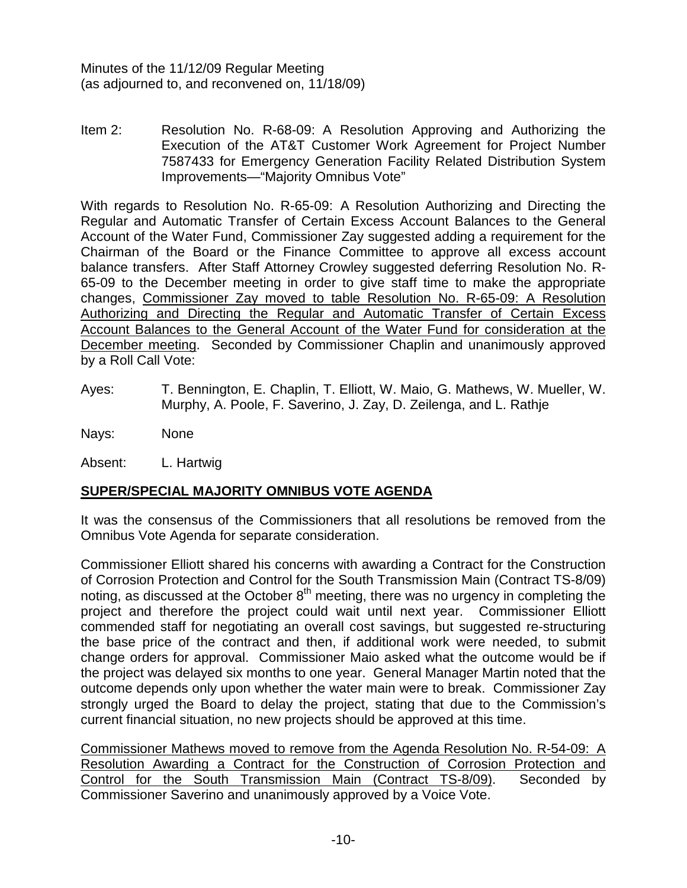Item 2: Resolution No. R-68-09: A Resolution Approving and Authorizing the Execution of the AT&T Customer Work Agreement for Project Number 7587433 for Emergency Generation Facility Related Distribution System Improvements—"Majority Omnibus Vote"

With regards to Resolution No. R-65-09: A Resolution Authorizing and Directing the Regular and Automatic Transfer of Certain Excess Account Balances to the General Account of the Water Fund, Commissioner Zay suggested adding a requirement for the Chairman of the Board or the Finance Committee to approve all excess account balance transfers. After Staff Attorney Crowley suggested deferring Resolution No. R-65-09 to the December meeting in order to give staff time to make the appropriate changes, Commissioner Zay moved to table Resolution No. R-65-09: A Resolution Authorizing and Directing the Regular and Automatic Transfer of Certain Excess Account Balances to the General Account of the Water Fund for consideration at the December meeting. Seconded by Commissioner Chaplin and unanimously approved by a Roll Call Vote:

Ayes: T. Bennington, E. Chaplin, T. Elliott, W. Maio, G. Mathews, W. Mueller, W. Murphy, A. Poole, F. Saverino, J. Zay, D. Zeilenga, and L. Rathje

Nays: None

Absent: L. Hartwig

## **SUPER/SPECIAL MAJORITY OMNIBUS VOTE AGENDA**

It was the consensus of the Commissioners that all resolutions be removed from the Omnibus Vote Agenda for separate consideration.

Commissioner Elliott shared his concerns with awarding a Contract for the Construction of Corrosion Protection and Control for the South Transmission Main (Contract TS-8/09) noting, as discussed at the October  $8<sup>th</sup>$  meeting, there was no urgency in completing the project and therefore the project could wait until next year. Commissioner Elliott commended staff for negotiating an overall cost savings, but suggested re-structuring the base price of the contract and then, if additional work were needed, to submit change orders for approval. Commissioner Maio asked what the outcome would be if the project was delayed six months to one year. General Manager Martin noted that the outcome depends only upon whether the water main were to break. Commissioner Zay strongly urged the Board to delay the project, stating that due to the Commission's current financial situation, no new projects should be approved at this time.

Commissioner Mathews moved to remove from the Agenda Resolution No. R-54-09: A Resolution Awarding a Contract for the Construction of Corrosion Protection and Control for the South Transmission Main (Contract TS-8/09). Seconded by Commissioner Saverino and unanimously approved by a Voice Vote.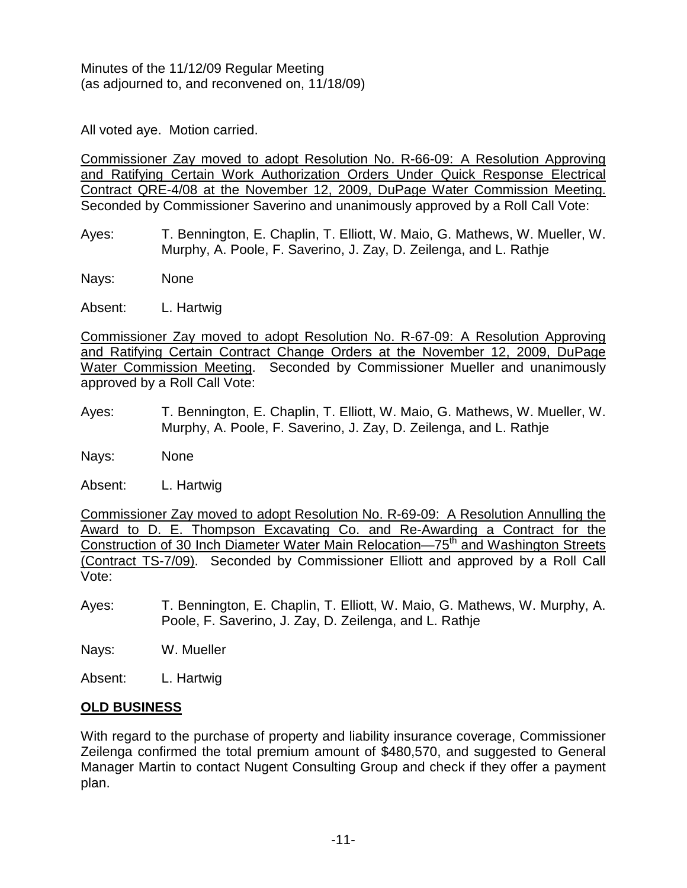All voted aye. Motion carried.

Commissioner Zay moved to adopt Resolution No. R-66-09: A Resolution Approving and Ratifying Certain Work Authorization Orders Under Quick Response Electrical Contract QRE-4/08 at the November 12, 2009, DuPage Water Commission Meeting. Seconded by Commissioner Saverino and unanimously approved by a Roll Call Vote:

- Ayes: T. Bennington, E. Chaplin, T. Elliott, W. Maio, G. Mathews, W. Mueller, W. Murphy, A. Poole, F. Saverino, J. Zay, D. Zeilenga, and L. Rathje
- Nays: None
- Absent: L. Hartwig

Commissioner Zay moved to adopt Resolution No. R-67-09: A Resolution Approving and Ratifying Certain Contract Change Orders at the November 12, 2009, DuPage Water Commission Meeting. Seconded by Commissioner Mueller and unanimously approved by a Roll Call Vote:

- Ayes: T. Bennington, E. Chaplin, T. Elliott, W. Maio, G. Mathews, W. Mueller, W. Murphy, A. Poole, F. Saverino, J. Zay, D. Zeilenga, and L. Rathje
- Nays: None

Absent: L. Hartwig

Commissioner Zay moved to adopt Resolution No. R-69-09: A Resolution Annulling the Award to D. E. Thompson Excavating Co. and Re-Awarding a Contract for the Construction of 30 Inch Diameter Water Main Relocation—75<sup>th</sup> and Washington Streets (Contract TS-7/09). Seconded by Commissioner Elliott and approved by a Roll Call Vote:

Ayes: T. Bennington, E. Chaplin, T. Elliott, W. Maio, G. Mathews, W. Murphy, A. Poole, F. Saverino, J. Zay, D. Zeilenga, and L. Rathje

Nays: W. Mueller

Absent: L. Hartwig

# **OLD BUSINESS**

With regard to the purchase of property and liability insurance coverage, Commissioner Zeilenga confirmed the total premium amount of \$480,570, and suggested to General Manager Martin to contact Nugent Consulting Group and check if they offer a payment plan.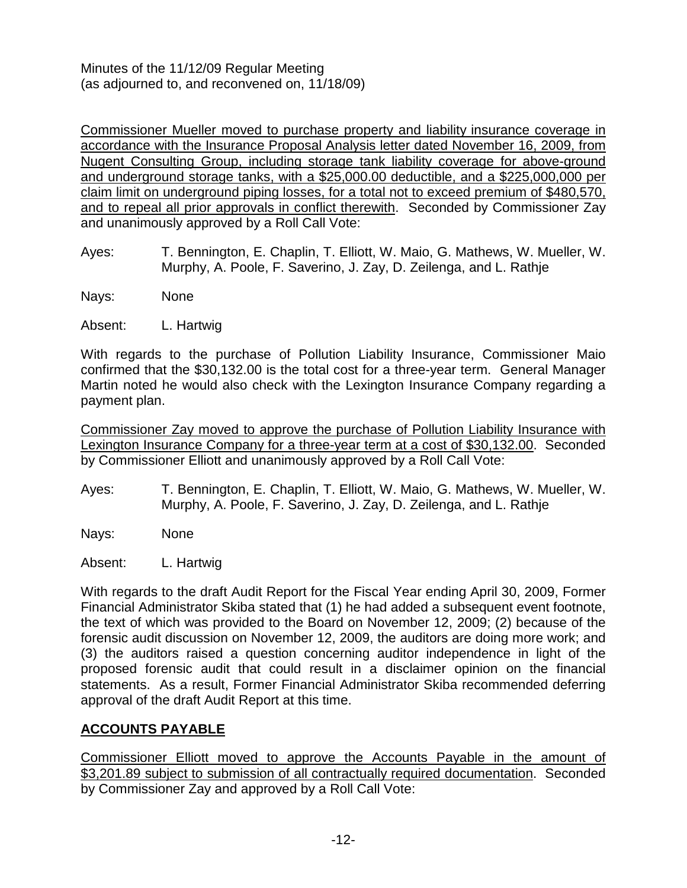Commissioner Mueller moved to purchase property and liability insurance coverage in accordance with the Insurance Proposal Analysis letter dated November 16, 2009, from Nugent Consulting Group, including storage tank liability coverage for above-ground and underground storage tanks, with a \$25,000.00 deductible, and a \$225,000,000 per claim limit on underground piping losses, for a total not to exceed premium of \$480,570, and to repeal all prior approvals in conflict therewith. Seconded by Commissioner Zay and unanimously approved by a Roll Call Vote:

Ayes: T. Bennington, E. Chaplin, T. Elliott, W. Maio, G. Mathews, W. Mueller, W. Murphy, A. Poole, F. Saverino, J. Zay, D. Zeilenga, and L. Rathje

Nays: None

Absent: L. Hartwig

With regards to the purchase of Pollution Liability Insurance, Commissioner Maio confirmed that the \$30,132.00 is the total cost for a three-year term. General Manager Martin noted he would also check with the Lexington Insurance Company regarding a payment plan.

Commissioner Zay moved to approve the purchase of Pollution Liability Insurance with Lexington Insurance Company for a three-year term at a cost of \$30,132.00. Seconded by Commissioner Elliott and unanimously approved by a Roll Call Vote:

Ayes: T. Bennington, E. Chaplin, T. Elliott, W. Maio, G. Mathews, W. Mueller, W. Murphy, A. Poole, F. Saverino, J. Zay, D. Zeilenga, and L. Rathje

Nays: None

Absent: L. Hartwig

With regards to the draft Audit Report for the Fiscal Year ending April 30, 2009, Former Financial Administrator Skiba stated that (1) he had added a subsequent event footnote, the text of which was provided to the Board on November 12, 2009; (2) because of the forensic audit discussion on November 12, 2009, the auditors are doing more work; and (3) the auditors raised a question concerning auditor independence in light of the proposed forensic audit that could result in a disclaimer opinion on the financial statements. As a result, Former Financial Administrator Skiba recommended deferring approval of the draft Audit Report at this time.

# **ACCOUNTS PAYABLE**

Commissioner Elliott moved to approve the Accounts Payable in the amount of \$3,201.89 subject to submission of all contractually required documentation. Seconded by Commissioner Zay and approved by a Roll Call Vote: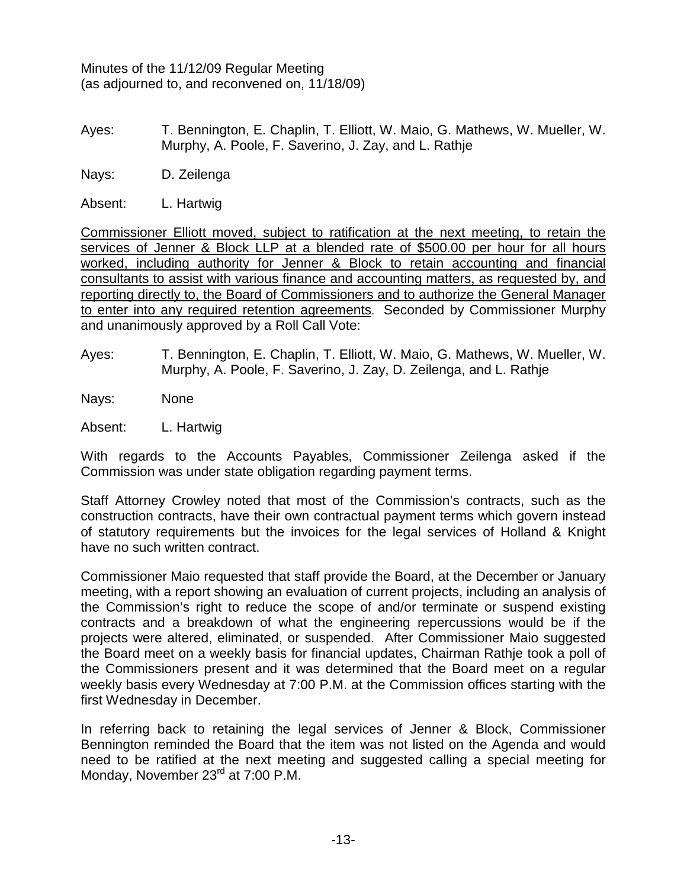Ayes: T. Bennington, E. Chaplin, T. Elliott, W. Maio, G. Mathews, W. Mueller, W. Murphy, A. Poole, F. Saverino, J. Zay, and L. Rathje

Nays: D. Zeilenga

Absent: L. Hartwig

Commissioner Elliott moved, subject to ratification at the next meeting, to retain the services of Jenner & Block LLP at a blended rate of \$500.00 per hour for all hours worked, including authority for Jenner & Block to retain accounting and financial consultants to assist with various finance and accounting matters, as requested by, and reporting directly to, the Board of Commissioners and to authorize the General Manager to enter into any required retention agreements. Seconded by Commissioner Murphy and unanimously approved by a Roll Call Vote:

Ayes: T. Bennington, E. Chaplin, T. Elliott, W. Maio, G. Mathews, W. Mueller, W. Murphy, A. Poole, F. Saverino, J. Zay, D. Zeilenga, and L. Rathje

Nays: None

Absent: L. Hartwig

With regards to the Accounts Payables, Commissioner Zeilenga asked if the Commission was under state obligation regarding payment terms.

Staff Attorney Crowley noted that most of the Commission's contracts, such as the construction contracts, have their own contractual payment terms which govern instead of statutory requirements but the invoices for the legal services of Holland & Knight have no such written contract.

Commissioner Maio requested that staff provide the Board, at the December or January meeting, with a report showing an evaluation of current projects, including an analysis of the Commission's right to reduce the scope of and/or terminate or suspend existing contracts and a breakdown of what the engineering repercussions would be if the projects were altered, eliminated, or suspended. After Commissioner Maio suggested the Board meet on a weekly basis for financial updates, Chairman Rathje took a poll of the Commissioners present and it was determined that the Board meet on a regular weekly basis every Wednesday at 7:00 P.M. at the Commission offices starting with the first Wednesday in December.

In referring back to retaining the legal services of Jenner & Block, Commissioner Bennington reminded the Board that the item was not listed on the Agenda and would need to be ratified at the next meeting and suggested calling a special meeting for Monday, November 23<sup>rd</sup> at 7:00 P.M.